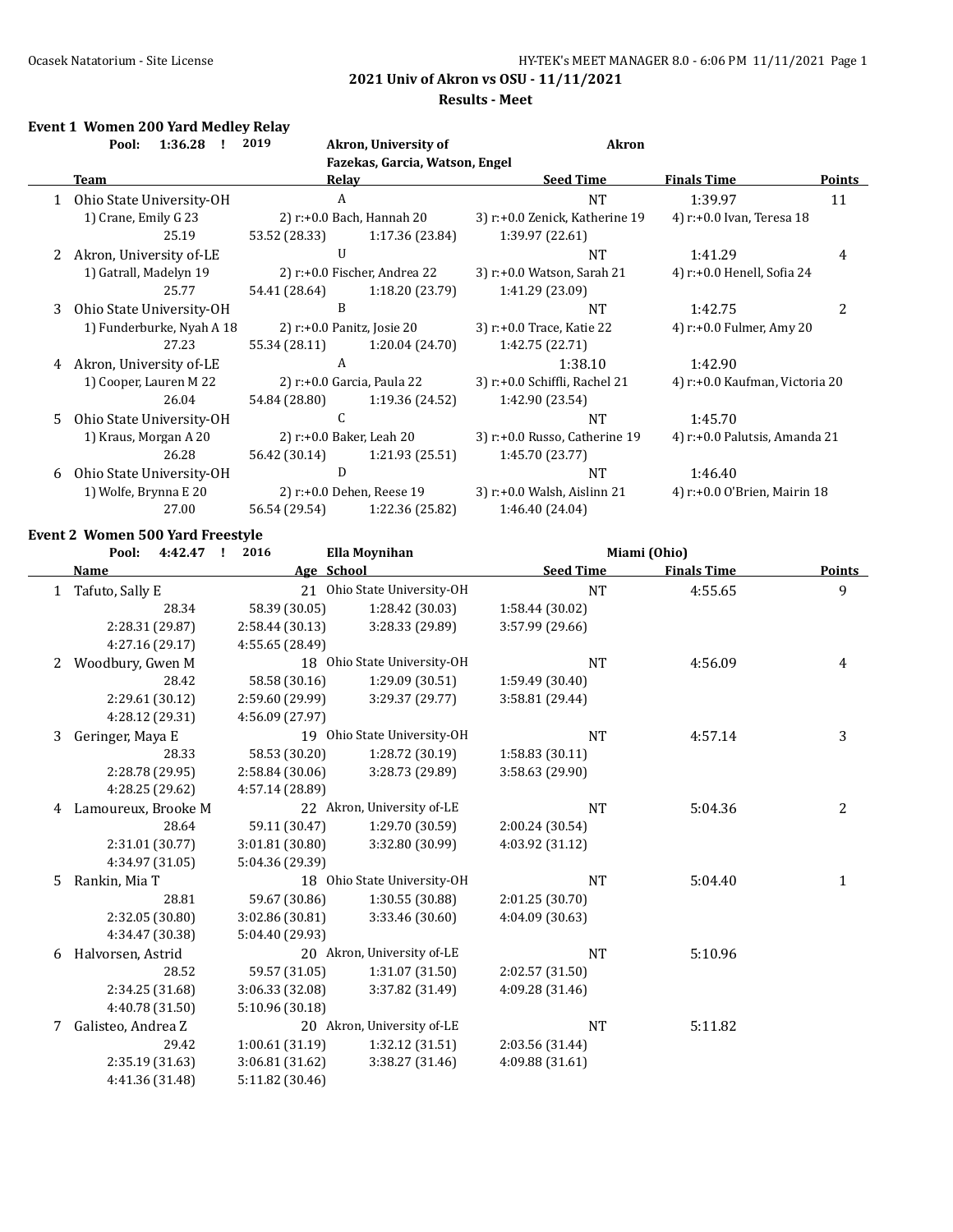#### **Results - Meet**

### **Event 1 Women 200 Yard Medley Relay**

|    | 1:36.28<br>Pool:          | 2019                     | Akron, University of            | <b>Akron</b>                   |                                |               |
|----|---------------------------|--------------------------|---------------------------------|--------------------------------|--------------------------------|---------------|
|    |                           |                          | Fazekas, Garcia, Watson, Engel  |                                |                                |               |
|    | Team                      | Relav                    |                                 | <b>Seed Time</b>               | <b>Finals Time</b>             | <b>Points</b> |
|    | Ohio State University-OH  | A                        |                                 | <b>NT</b>                      | 1:39.97                        | 11            |
|    | 1) Crane, Emily G 23      |                          | 2) $r+0.0$ Bach, Hannah 20      | 3) r:+0.0 Zenick, Katherine 19 | 4) r:+0.0 Ivan, Teresa 18      |               |
|    | 25.19                     | 53.52 (28.33)            | 1:17.36 (23.84)                 | 1:39.97 (22.61)                |                                |               |
| 2  | Akron, University of-LE   | $\mathbf{I}$             |                                 | NT                             | 1:41.29                        | 4             |
|    | 1) Gatrall, Madelyn 19    |                          | 2) $r: +0.0$ Fischer, Andrea 22 | 3) r:+0.0 Watson, Sarah 21     | 4) r:+0.0 Henell, Sofia 24     |               |
|    | 25.77                     | 54.41 (28.64)            | 1:18.20(23.79)                  | 1:41.29 (23.09)                |                                |               |
| 3  | Ohio State University-OH  | B                        |                                 | NT                             | 1:42.75                        | 2             |
|    | 1) Funderburke, Nyah A 18 |                          | 2) r:+0.0 Panitz, Josie 20      | 3) r:+0.0 Trace, Katie 22      | 4) r:+0.0 Fulmer, Amy 20       |               |
|    | 27.23                     | 55.34 (28.11)            | 1:20.04(24.70)                  | 1:42.75 (22.71)                |                                |               |
| 4  | Akron, University of-LE   | A                        |                                 | 1:38.10                        | 1:42.90                        |               |
|    | 1) Cooper, Lauren M 22    |                          | 2) r:+0.0 Garcia, Paula 22      | 3) r:+0.0 Schiffli, Rachel 21  | 4) r:+0.0 Kaufman, Victoria 20 |               |
|    | 26.04                     | 54.84 (28.80)            | 1:19.36 (24.52)                 | 1:42.90 (23.54)                |                                |               |
| 5. | Ohio State University-OH  |                          |                                 | NT                             | 1:45.70                        |               |
|    | 1) Kraus, Morgan A 20     | 2) r:+0.0 Baker, Leah 20 |                                 | 3) r:+0.0 Russo, Catherine 19  | 4) r:+0.0 Palutsis, Amanda 21  |               |
|    | 26.28                     | 56.42 (30.14)            | 1:21.93(25.51)                  | 1:45.70 (23.77)                |                                |               |
| 6  | Ohio State University-OH  | D                        |                                 | <b>NT</b>                      | 1:46.40                        |               |
|    | 1) Wolfe, Brynna E 20     |                          | 2) r:+0.0 Dehen, Reese 19       | 3) r:+0.0 Walsh, Aislinn 21    | 4) r:+0.0 O'Brien, Mairin 18   |               |
|    | 27.00                     | 56.54 (29.54)            | 1:22.36 (25.82)                 | 1:46.40 (24.04)                |                                |               |

### **Event 2 Women 500 Yard Freestyle**

|              | Pool:<br>4:42.47    | 2016            | Ella Moynihan               | Miami (Ohio)     |                    |               |
|--------------|---------------------|-----------------|-----------------------------|------------------|--------------------|---------------|
|              | <u>Name</u>         | Age School      |                             | <b>Seed Time</b> | <b>Finals Time</b> | <b>Points</b> |
| $\mathbf{1}$ | Tafuto, Sally E     |                 | 21 Ohio State University-OH | <b>NT</b>        | 4:55.65            | 9             |
|              | 28.34               | 58.39 (30.05)   | 1:28.42 (30.03)             | 1:58.44 (30.02)  |                    |               |
|              | 2:28.31 (29.87)     | 2:58.44 (30.13) | 3:28.33 (29.89)             | 3:57.99 (29.66)  |                    |               |
|              | 4:27.16 (29.17)     | 4:55.65 (28.49) |                             |                  |                    |               |
| 2            | Woodbury, Gwen M    |                 | 18 Ohio State University-OH | <b>NT</b>        | 4:56.09            | 4             |
|              | 28.42               | 58.58 (30.16)   | 1:29.09 (30.51)             | 1:59.49 (30.40)  |                    |               |
|              | 2:29.61 (30.12)     | 2:59.60 (29.99) | 3:29.37 (29.77)             | 3:58.81 (29.44)  |                    |               |
|              | 4:28.12 (29.31)     | 4:56.09 (27.97) |                             |                  |                    |               |
| 3            | Geringer, Maya E    |                 | 19 Ohio State University-OH | <b>NT</b>        | 4:57.14            | 3             |
|              | 28.33               | 58.53 (30.20)   | 1:28.72 (30.19)             | 1:58.83(30.11)   |                    |               |
|              | 2:28.78 (29.95)     | 2:58.84 (30.06) | 3:28.73 (29.89)             | 3:58.63 (29.90)  |                    |               |
|              | 4:28.25 (29.62)     | 4:57.14 (28.89) |                             |                  |                    |               |
| 4            | Lamoureux, Brooke M |                 | 22 Akron, University of-LE  | <b>NT</b>        | 5:04.36            | 2             |
|              | 28.64               | 59.11 (30.47)   | 1:29.70 (30.59)             | 2:00.24 (30.54)  |                    |               |
|              | 2:31.01 (30.77)     | 3:01.81 (30.80) | 3:32.80 (30.99)             | 4:03.92 (31.12)  |                    |               |
|              | 4:34.97 (31.05)     | 5:04.36 (29.39) |                             |                  |                    |               |
| 5.           | Rankin, Mia T       |                 | 18 Ohio State University-OH | <b>NT</b>        | 5:04.40            | $\mathbf{1}$  |
|              | 28.81               | 59.67 (30.86)   | 1:30.55 (30.88)             | 2:01.25 (30.70)  |                    |               |
|              | 2:32.05 (30.80)     | 3:02.86 (30.81) | 3:33.46 (30.60)             | 4:04.09 (30.63)  |                    |               |
|              | 4:34.47 (30.38)     | 5:04.40 (29.93) |                             |                  |                    |               |
| 6            | Halvorsen, Astrid   |                 | 20 Akron, University of-LE  | <b>NT</b>        | 5:10.96            |               |
|              | 28.52               | 59.57 (31.05)   | 1:31.07 (31.50)             | 2:02.57 (31.50)  |                    |               |
|              | 2:34.25 (31.68)     | 3:06.33 (32.08) | 3:37.82 (31.49)             | 4:09.28 (31.46)  |                    |               |
|              | 4:40.78 (31.50)     | 5:10.96 (30.18) |                             |                  |                    |               |
| 7            | Galisteo, Andrea Z  |                 | 20 Akron, University of-LE  | <b>NT</b>        | 5:11.82            |               |
|              | 29.42               | 1:00.61(31.19)  | 1:32.12 (31.51)             | 2:03.56 (31.44)  |                    |               |
|              | 2:35.19 (31.63)     | 3:06.81(31.62)  | 3:38.27 (31.46)             | 4:09.88 (31.61)  |                    |               |
|              | 4:41.36 (31.48)     | 5:11.82 (30.46) |                             |                  |                    |               |
|              |                     |                 |                             |                  |                    |               |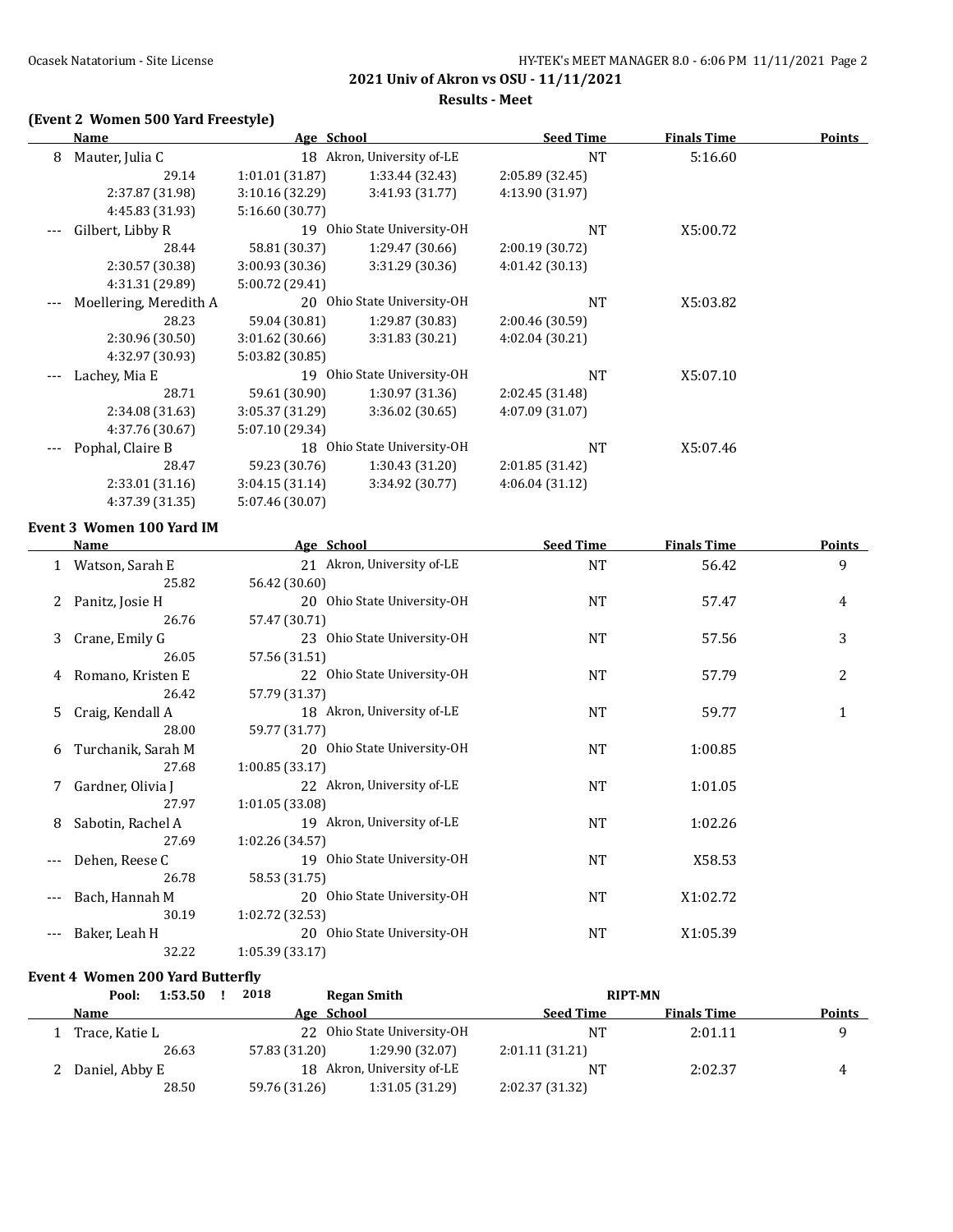**Results - Meet**

# **(Event 2 Women 500 Yard Freestyle)**

|   | <b>Name</b>            | Age School      |                             | <b>Seed Time</b> | <b>Finals Time</b> | <b>Points</b> |
|---|------------------------|-----------------|-----------------------------|------------------|--------------------|---------------|
| 8 | Mauter, Julia C        |                 | 18 Akron, University of-LE  | <b>NT</b>        | 5:16.60            |               |
|   | 29.14                  | 1:01.01(31.87)  | 1:33.44 (32.43)             | 2:05.89 (32.45)  |                    |               |
|   | 2:37.87 (31.98)        | 3:10.16(32.29)  | 3:41.93 (31.77)             | 4:13.90 (31.97)  |                    |               |
|   | 4:45.83 (31.93)        | 5:16.60 (30.77) |                             |                  |                    |               |
|   | Gilbert, Libby R       |                 | 19 Ohio State University-OH | NT               | X5:00.72           |               |
|   | 28.44                  | 58.81 (30.37)   | 1:29.47 (30.66)             | 2:00.19(30.72)   |                    |               |
|   | 2:30.57 (30.38)        | 3:00.93 (30.36) | 3:31.29 (30.36)             | 4:01.42(30.13)   |                    |               |
|   | 4:31.31 (29.89)        | 5:00.72 (29.41) |                             |                  |                    |               |
|   | Moellering, Meredith A |                 | 20 Ohio State University-OH | <b>NT</b>        | X5:03.82           |               |
|   | 28.23                  | 59.04 (30.81)   | 1:29.87 (30.83)             | 2:00.46 (30.59)  |                    |               |
|   | 2:30.96 (30.50)        | 3:01.62(30.66)  | 3:31.83 (30.21)             | 4:02.04(30.21)   |                    |               |
|   | 4:32.97 (30.93)        | 5:03.82 (30.85) |                             |                  |                    |               |
|   | Lachey, Mia E          |                 | 19 Ohio State University-OH | <b>NT</b>        | X5:07.10           |               |
|   | 28.71                  | 59.61 (30.90)   | 1:30.97(31.36)              | 2:02.45 (31.48)  |                    |               |
|   | 2:34.08 (31.63)        | 3:05.37 (31.29) | 3:36.02(30.65)              | 4:07.09 (31.07)  |                    |               |
|   | 4:37.76 (30.67)        | 5:07.10 (29.34) |                             |                  |                    |               |
|   | Pophal, Claire B       | 18              | Ohio State University-OH    | <b>NT</b>        | X5:07.46           |               |
|   | 28.47                  | 59.23 (30.76)   | 1:30.43(31.20)              | 2:01.85 (31.42)  |                    |               |
|   | 2:33.01 (31.16)        | 3:04.15(31.14)  | 3:34.92 (30.77)             | 4:06.04(31.12)   |                    |               |
|   | 4:37.39 (31.35)        | 5:07.46 (30.07) |                             |                  |                    |               |

### **Event 3 Women 100 Yard IM**

 $\overline{a}$ 

|     | <b>Name</b>        | Age School                  | <b>Seed Time</b> | <b>Finals Time</b> | <b>Points</b>  |
|-----|--------------------|-----------------------------|------------------|--------------------|----------------|
|     | Watson, Sarah E    | 21 Akron, University of-LE  | <b>NT</b>        | 56.42              | 9              |
|     | 25.82              | 56.42 (30.60)               |                  |                    |                |
| 2   | Panitz, Josie H    | 20 Ohio State University-OH | NT               | 57.47              | 4              |
|     | 26.76              | 57.47 (30.71)               |                  |                    |                |
| 3   | Crane, Emily G     | 23 Ohio State University-OH | NT               | 57.56              | 3              |
|     | 26.05              | 57.56 (31.51)               |                  |                    |                |
| 4   | Romano, Kristen E  | 22 Ohio State University-OH | NT               | 57.79              | $\overline{c}$ |
|     | 26.42              | 57.79 (31.37)               |                  |                    |                |
| 5   | Craig, Kendall A   | 18 Akron, University of-LE  | NT               | 59.77              | 1              |
|     | 28.00              | 59.77 (31.77)               |                  |                    |                |
| 6   | Turchanik, Sarah M | 20 Ohio State University-OH | NT               | 1:00.85            |                |
|     | 27.68              | 1:00.85(33.17)              |                  |                    |                |
| 7   | Gardner, Olivia J  | 22 Akron, University of-LE  | NT               | 1:01.05            |                |
|     | 27.97              | 1:01.05(33.08)              |                  |                    |                |
| 8   | Sabotin, Rachel A  | 19 Akron, University of-LE  | NT               | 1:02.26            |                |
|     | 27.69              | 1:02.26 (34.57)             |                  |                    |                |
|     | Dehen, Reese C     | 19 Ohio State University-OH | NT               | X58.53             |                |
|     | 26.78              | 58.53 (31.75)               |                  |                    |                |
| --- | Bach, Hannah M     | 20 Ohio State University-OH | NT               | X1:02.72           |                |
|     | 30.19              | 1:02.72 (32.53)             |                  |                    |                |
|     | Baker, Leah H      | 20 Ohio State University-OH | NT               | X1:05.39           |                |
|     | 32.22              | 1:05.39 (33.17)             |                  |                    |                |

### **Event 4 Women 200 Yard Butterfly**

| 1:53.50<br>Pool: | 2018          | Regan Smith                 | <b>RIPT-MN</b>   |                    |        |
|------------------|---------------|-----------------------------|------------------|--------------------|--------|
| <b>Name</b>      | Age School    |                             | <b>Seed Time</b> | <b>Finals Time</b> | Points |
| Trace, Katie L   |               | 22 Ohio State University-OH | NT.              | 2:01.11            |        |
| 26.63            | 57.83 (31.20) | 1:29.90 (32.07)             | 2:01.11(31.21)   |                    |        |
| Daniel, Abby E   |               | 18 Akron, University of-LE  | $N^{T}$          | 2:02.37            | 4      |
| 28.50            | 59.76 (31.26) | 1:31.05 (31.29)             | 2:02.37 (31.32)  |                    |        |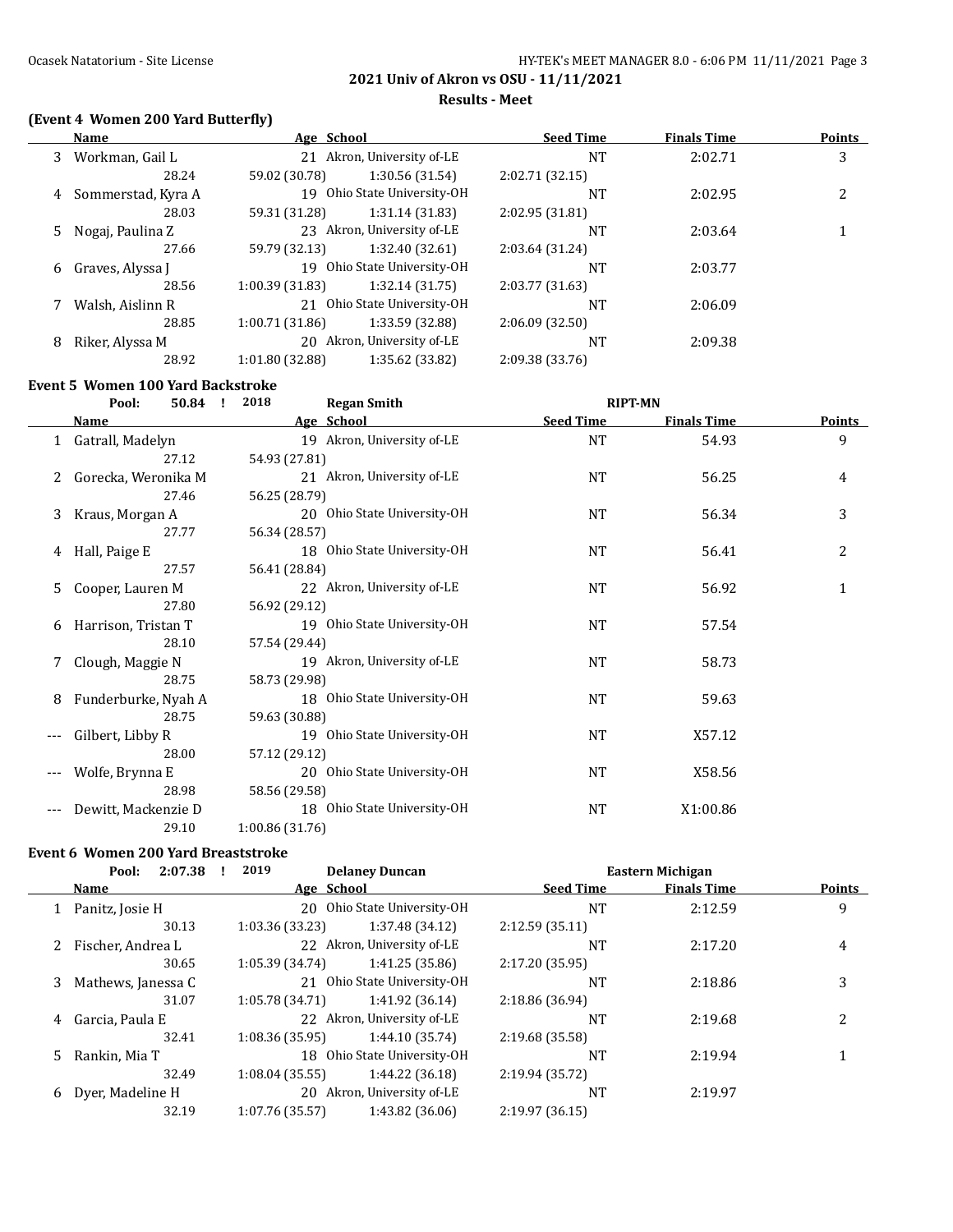### Ocasek Natatorium - Site License **Matatorium - Site License** HY-TEK's MEET MANAGER 8.0 - 6:06 PM 11/11/2021 Page 3

**2021 Univ of Akron vs OSU - 11/11/2021**

#### **Results - Meet**

# **(Event 4 Women 200 Yard Butterfly)**

|    | Name               | Age School      |                             | <b>Seed Time</b> | <b>Finals Time</b> | Points |
|----|--------------------|-----------------|-----------------------------|------------------|--------------------|--------|
| 3  | Workman, Gail L    |                 | 21 Akron, University of-LE  |                  | 2:02.71            | 3      |
|    | 28.24              | 59.02 (30.78)   | 1:30.56 (31.54)             | 2:02.71 (32.15)  |                    |        |
| 4  | Sommerstad, Kyra A |                 | 19 Ohio State University-OH | NT               | 2:02.95            |        |
|    | 28.03              | 59.31 (31.28)   | 1:31.14 (31.83)             | 2:02.95(31.81)   |                    |        |
| 5. | Nogaj, Paulina Z   |                 | 23 Akron, University of-LE  |                  | 2:03.64            |        |
|    | 27.66              | 59.79 (32.13)   | 1:32.40(32.61)              | 2:03.64 (31.24)  |                    |        |
| 6  | Graves, Alyssa J   |                 | 19 Ohio State University-OH |                  | 2:03.77            |        |
|    | 28.56              | 1:00.39(31.83)  | 1:32.14(31.75)              | 2:03.77 (31.63)  |                    |        |
| 7  | Walsh, Aislinn R   |                 | 21 Ohio State University-OH |                  | 2:06.09            |        |
|    | 28.85              | 1:00.71 (31.86) | 1:33.59 (32.88)             | 2:06.09(32.50)   |                    |        |
| 8  | Riker, Alyssa M    |                 | 20 Akron, University of-LE  | <b>NT</b>        | 2:09.38            |        |
|    | 28.92              | 1:01.80 (32.88) | 1:35.62 (33.82)             | 2:09.38 (33.76)  |                    |        |

### **Event 5 Women 100 Yard Backstroke**

|    | Pool:<br>50.84<br>$\mathbf{I}$ | <b>Regan Smith</b><br>2018  |                  | <b>RIPT-MN</b>     |               |
|----|--------------------------------|-----------------------------|------------------|--------------------|---------------|
|    | <b>Name</b>                    | Age School                  | <b>Seed Time</b> | <b>Finals Time</b> | <b>Points</b> |
|    | 1 Gatrall, Madelyn             | 19 Akron, University of-LE  | <b>NT</b>        | 54.93              | 9             |
|    | 27.12                          | 54.93 (27.81)               |                  |                    |               |
|    | Gorecka, Weronika M            | 21 Akron, University of-LE  | NT               | 56.25              | 4             |
|    | 27.46                          | 56.25 (28.79)               |                  |                    |               |
| 3  | Kraus, Morgan A                | 20 Ohio State University-OH | NT               | 56.34              | 3             |
|    | 27.77                          | 56.34 (28.57)               |                  |                    |               |
| 4  | Hall, Paige E                  | 18 Ohio State University-OH | NT               | 56.41              | 2             |
|    | 27.57                          | 56.41 (28.84)               |                  |                    |               |
| 5. | Cooper, Lauren M               | 22 Akron, University of-LE  | NT               | 56.92              | 1             |
|    | 27.80                          | 56.92 (29.12)               |                  |                    |               |
| 6  | Harrison, Tristan T            | 19 Ohio State University-OH | NT               | 57.54              |               |
|    | 28.10                          | 57.54 (29.44)               |                  |                    |               |
|    | Clough, Maggie N               | 19 Akron, University of-LE  | NT               | 58.73              |               |
|    | 28.75                          | 58.73 (29.98)               |                  |                    |               |
| 8  | Funderburke, Nyah A            | 18 Ohio State University-OH | NT               | 59.63              |               |
|    | 28.75                          | 59.63 (30.88)               |                  |                    |               |
|    | Gilbert, Libby R               | 19 Ohio State University-OH | NT               | X57.12             |               |
|    | 28.00                          | 57.12 (29.12)               |                  |                    |               |
|    | Wolfe, Brynna E                | 20 Ohio State University-OH | NT               | X58.56             |               |
|    | 28.98                          | 58.56 (29.58)               |                  |                    |               |
|    | Dewitt, Mackenzie D            | 18 Ohio State University-OH | NT               | X1:00.86           |               |
|    | 29.10                          | 1:00.86 (31.76)             |                  |                    |               |

#### **Event 6 Women 200 Yard Breaststroke**

| 2:07.38<br>Pool:        | 2019            |                 |                                                                                                                                                                                                                |                    |                  |
|-------------------------|-----------------|-----------------|----------------------------------------------------------------------------------------------------------------------------------------------------------------------------------------------------------------|--------------------|------------------|
| Name                    |                 |                 | <b>Seed Time</b>                                                                                                                                                                                               | <b>Finals Time</b> | Points           |
| Panitz, Josie H<br>1    | 20              |                 | NT                                                                                                                                                                                                             | 2:12.59            | 9                |
| 30.13                   | 1:03.36 (33.23) | 1:37.48 (34.12) | 2:12.59(35.11)                                                                                                                                                                                                 |                    |                  |
| Fischer, Andrea L       |                 |                 | NT                                                                                                                                                                                                             | 2:17.20            | 4                |
| 30.65                   | 1:05.39(34.74)  | 1:41.25 (35.86) | 2:17.20 (35.95)                                                                                                                                                                                                |                    |                  |
| Mathews, Janessa C<br>3 | 21              |                 | <b>NT</b>                                                                                                                                                                                                      | 2:18.86            | 3                |
| 31.07                   | 1:05.78 (34.71) | 1:41.92 (36.14) | 2:18.86 (36.94)                                                                                                                                                                                                |                    |                  |
| Garcia, Paula E<br>4    |                 |                 | <b>NT</b>                                                                                                                                                                                                      | 2:19.68            |                  |
| 32.41                   | 1:08.36 (35.95) | 1:44.10 (35.74) | 2:19.68 (35.58)                                                                                                                                                                                                |                    |                  |
| Rankin, Mia T<br>5.     | 18              |                 | NT                                                                                                                                                                                                             | 2:19.94            |                  |
| 32.49                   | 1:08.04(35.55)  | 1:44.22 (36.18) | 2:19.94 (35.72)                                                                                                                                                                                                |                    |                  |
| Dyer, Madeline H<br>6   | 20              |                 | <b>NT</b>                                                                                                                                                                                                      | 2:19.97            |                  |
| 32.19                   | 1:07.76 (35.57) | 1:43.82 (36.06) | 2:19.97(36.15)                                                                                                                                                                                                 |                    |                  |
|                         |                 |                 | <b>Delaney Duncan</b><br>Age School<br>Ohio State University-OH<br>22 Akron, University of-LE<br>Ohio State University-OH<br>22 Akron, University of-LE<br>Ohio State University-OH<br>Akron, University of-LE |                    | Eastern Michigan |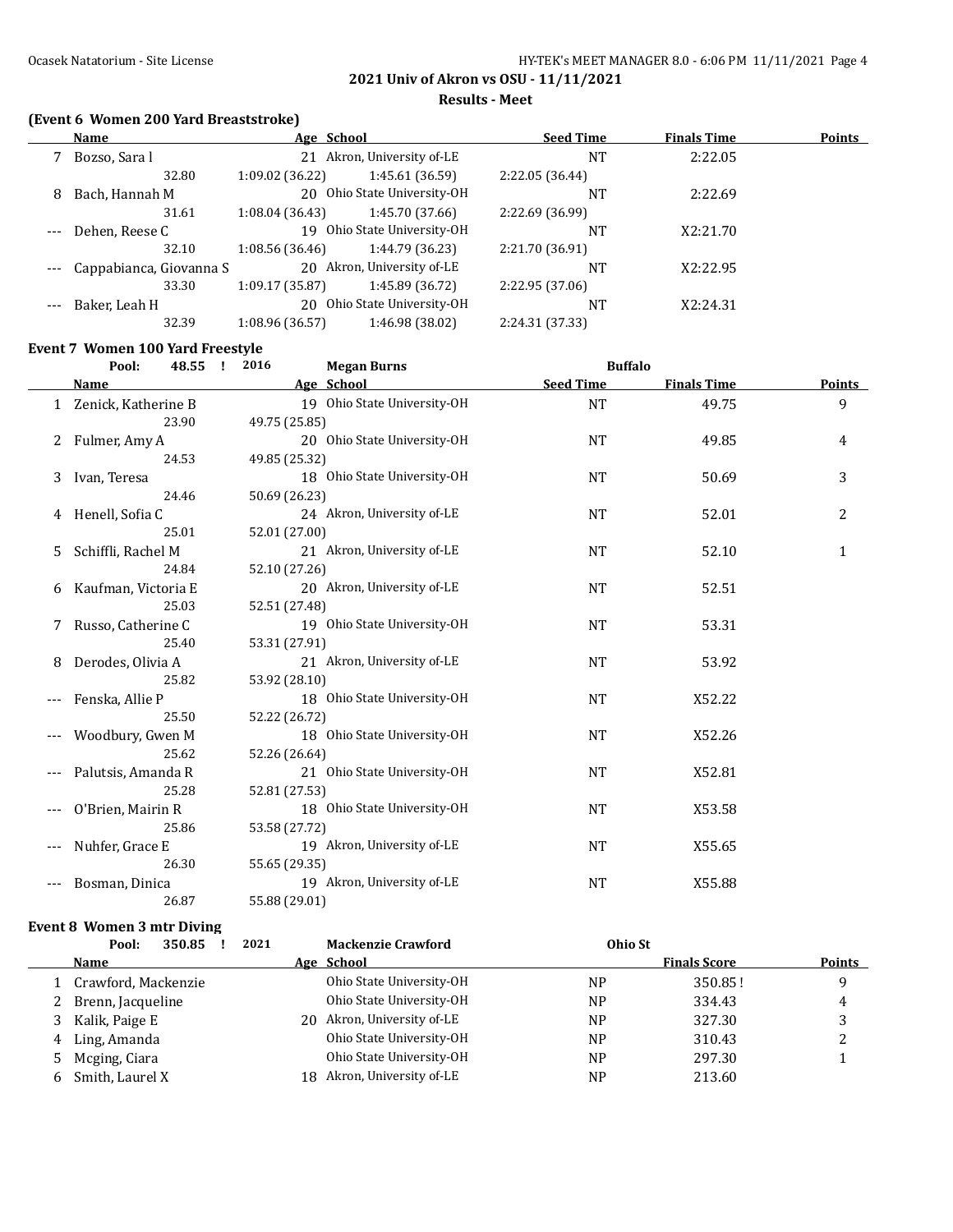**Results - Meet**

# **(Event 6 Women 200 Yard Breaststroke)**

|       | Name                    | Age School      |                             | <b>Seed Time</b> | <b>Finals Time</b> | <b>Points</b> |
|-------|-------------------------|-----------------|-----------------------------|------------------|--------------------|---------------|
|       | Bozso, Sara l           |                 | 21 Akron, University of-LE  | <b>NT</b>        | 2:22.05            |               |
|       | 32.80                   | 1:09.02 (36.22) | 1:45.61(36.59)              | 2:22.05 (36.44)  |                    |               |
| 8     | Bach, Hannah M          |                 | 20 Ohio State University-OH | <b>NT</b>        | 2:22.69            |               |
|       | 31.61                   | 1:08.04(36.43)  | 1:45.70(37.66)              | 2:22.69 (36.99)  |                    |               |
| $---$ | Dehen, Reese C          | 19              | Ohio State University-OH    | <b>NT</b>        | X2:21.70           |               |
|       | 32.10                   | 1:08.56(36.46)  | 1:44.79 (36.23)             | 2:21.70 (36.91)  |                    |               |
|       | Cappabianca, Giovanna S | 20              | Akron, University of-LE     | NΤ               | X2:22.95           |               |
|       | 33.30                   | 1:09.17 (35.87) | 1:45.89 (36.72)             | 2:22.95 (37.06)  |                    |               |
|       | Baker, Leah H           | 20              | Ohio State University-OH    | <b>NT</b>        | X2:24.31           |               |
|       | 32.39                   | 1:08.96 (36.57) | 1:46.98 (38.02)             | 2:24.31 (37.33)  |                    |               |

### **Event 7 Women 100 Yard Freestyle**

|       | Pool:<br>48.55        | 2016<br><b>Megan Burns</b><br>$\mathbf{I}$ | <b>Buffalo</b>   |                    |               |
|-------|-----------------------|--------------------------------------------|------------------|--------------------|---------------|
|       | <u>Name</u>           | Age School                                 | <b>Seed Time</b> | <b>Finals Time</b> | <b>Points</b> |
|       | 1 Zenick, Katherine B | 19 Ohio State University-OH                | <b>NT</b>        | 49.75              | 9             |
|       | 23.90                 | 49.75 (25.85)                              |                  |                    |               |
|       | Fulmer, Amy A         | 20 Ohio State University-OH                | <b>NT</b>        | 49.85              | 4             |
|       | 24.53                 | 49.85 (25.32)                              |                  |                    |               |
| 3     | Ivan, Teresa          | 18 Ohio State University-OH                | NT               | 50.69              | 3             |
|       | 24.46                 | 50.69 (26.23)                              |                  |                    |               |
|       | Henell, Sofia C       | 24 Akron, University of-LE                 | NT               | 52.01              | 2             |
|       | 25.01                 | 52.01 (27.00)                              |                  |                    |               |
| 5     | Schiffli, Rachel M    | 21 Akron, University of-LE                 | NT               | 52.10              | $\mathbf{1}$  |
|       | 24.84                 | 52.10 (27.26)                              |                  |                    |               |
| 6     | Kaufman, Victoria E   | 20 Akron, University of-LE                 | <b>NT</b>        | 52.51              |               |
|       | 25.03                 | 52.51 (27.48)                              |                  |                    |               |
|       | Russo, Catherine C    | 19 Ohio State University-OH                | <b>NT</b>        | 53.31              |               |
|       | 25.40                 | 53.31 (27.91)                              |                  |                    |               |
|       | Derodes, Olivia A     | 21 Akron, University of-LE                 | <b>NT</b>        | 53.92              |               |
|       | 25.82                 | 53.92 (28.10)                              |                  |                    |               |
|       | Fenska, Allie P       | 18 Ohio State University-OH                | <b>NT</b>        | X52.22             |               |
|       | 25.50                 | 52.22 (26.72)                              |                  |                    |               |
|       | Woodbury, Gwen M      | 18 Ohio State University-OH                | <b>NT</b>        | X52.26             |               |
|       | 25.62                 | 52.26 (26.64)                              |                  |                    |               |
|       | Palutsis, Amanda R    | 21 Ohio State University-OH                | <b>NT</b>        | X52.81             |               |
|       | 25.28                 | 52.81 (27.53)                              |                  |                    |               |
|       | O'Brien, Mairin R     | 18 Ohio State University-OH                | <b>NT</b>        | X53.58             |               |
|       | 25.86                 | 53.58 (27.72)                              |                  |                    |               |
|       | Nuhfer, Grace E       | 19 Akron, University of-LE                 | NT               | X55.65             |               |
|       | 26.30                 | 55.65 (29.35)                              |                  |                    |               |
| $---$ | Bosman, Dinica        | 19 Akron, University of-LE                 | <b>NT</b>        | X55.88             |               |
|       | 26.87                 | 55.88 (29.01)                              |                  |                    |               |

# **Event 8 Women 3 mtr Diving**

|   | 2021<br>350.85<br>Pool: |     | <b>Mackenzie Crawford</b>  | Ohio St        |                     |               |
|---|-------------------------|-----|----------------------------|----------------|---------------------|---------------|
|   | <b>Name</b>             |     | Age School                 |                | <b>Finals Score</b> | <b>Points</b> |
|   | 1 Crawford, Mackenzie   |     | Ohio State University-OH   | <b>NP</b>      | 350.85!             | q             |
|   | 2 Brenn, Jacqueline     |     | Ohio State University-OH   | <b>NP</b>      | 334.43              | 4             |
| 3 | Kalik, Paige E          |     | 20 Akron, University of-LE | <b>NP</b>      | 327.30              | ັ             |
|   | 4 Ling, Amanda          |     | Ohio State University-OH   | N <sub>P</sub> | 310.43              |               |
| 5 | Mcging, Ciara           |     | Ohio State University-OH   | <b>NP</b>      | 297.30              |               |
| 6 | Smith, Laurel X         | 18. | Akron, University of-LE    | <b>NP</b>      | 213.60              |               |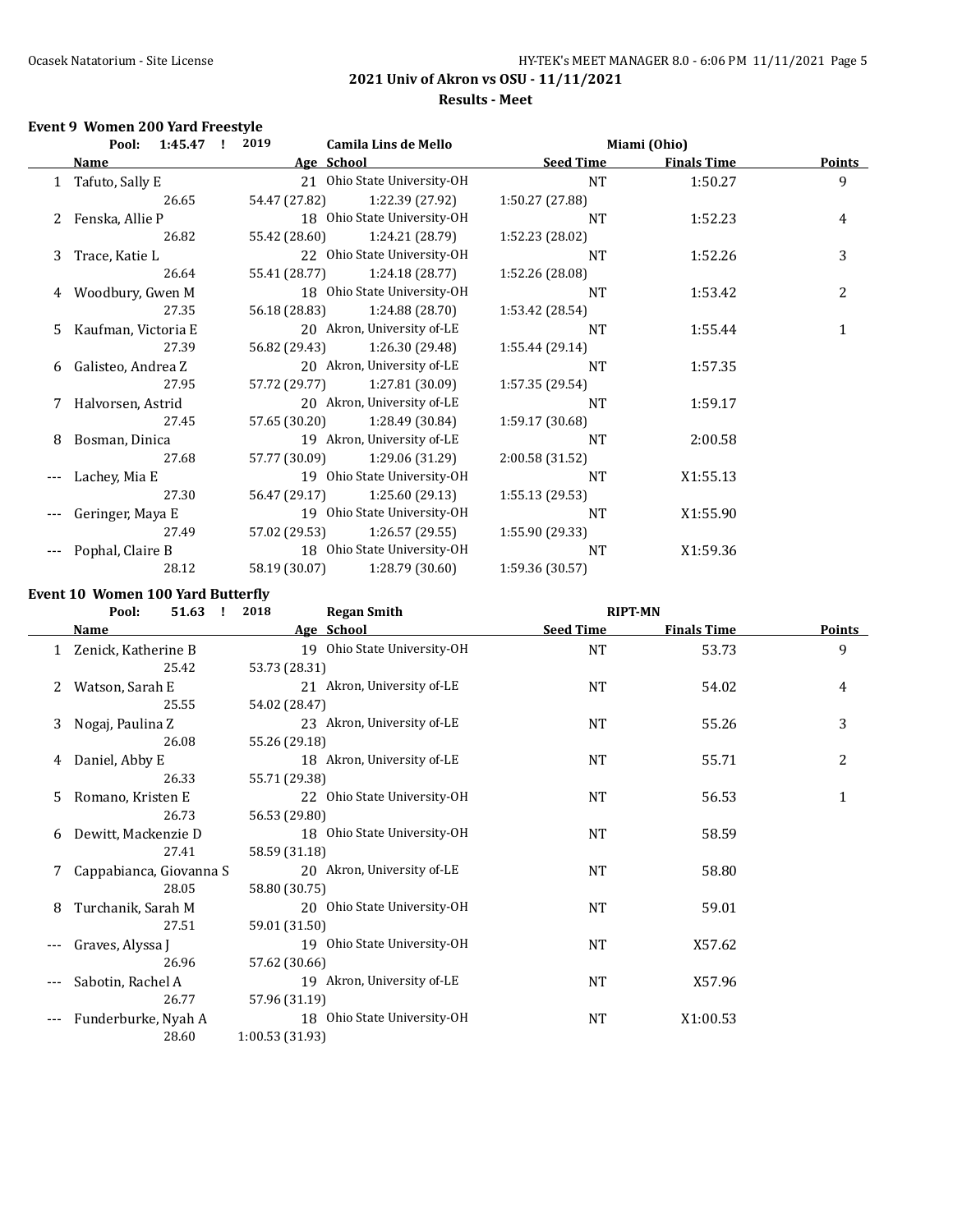# Ocasek Natatorium - Site License **HY-TEK's MEET MANAGER 8.0 - 6:06 PM 11/11/2021** Page 5

# **2021 Univ of Akron vs OSU - 11/11/2021 Results - Meet**

### **Event 9 Women 200 Yard Freestyle**

|   | Pool: 1:45.47 !       | 2019          | <b>Camila Lins de Mello</b> | Miami (Ohio)     |                    |        |
|---|-----------------------|---------------|-----------------------------|------------------|--------------------|--------|
|   | Name                  | Age School    |                             | <b>Seed Time</b> | <b>Finals Time</b> | Points |
|   | 1 Tafuto, Sally E     |               | 21 Ohio State University-OH | <b>NT</b>        | 1:50.27            | 9      |
|   | 26.65                 | 54.47 (27.82) | 1:22.39 (27.92)             | 1:50.27 (27.88)  |                    |        |
|   | Fenska, Allie P       |               | 18 Ohio State University-OH | NT               | 1:52.23            | 4      |
|   | 26.82                 | 55.42 (28.60) | 1:24.21 (28.79)             | 1:52.23 (28.02)  |                    |        |
| 3 | Trace, Katie L        |               | 22 Ohio State University-OH | <b>NT</b>        | 1:52.26            | 3      |
|   | 26.64                 | 55.41 (28.77) | 1:24.18(28.77)              | 1:52.26 (28.08)  |                    |        |
| 4 | Woodbury, Gwen M      |               | 18 Ohio State University-OH | <b>NT</b>        | 1:53.42            | 2      |
|   | 27.35                 | 56.18 (28.83) | 1:24.88(28.70)              | 1:53.42 (28.54)  |                    |        |
|   | 5 Kaufman, Victoria E |               | 20 Akron, University of-LE  | NT               | 1:55.44            | 1      |
|   | 27.39                 | 56.82 (29.43) | 1:26.30 (29.48)             | 1:55.44 (29.14)  |                    |        |
|   | 6 Galisteo, Andrea Z  |               | 20 Akron, University of-LE  | <b>NT</b>        | 1:57.35            |        |
|   | 27.95                 | 57.72 (29.77) | 1:27.81 (30.09)             | 1:57.35 (29.54)  |                    |        |
|   | 7 Halvorsen, Astrid   |               | 20 Akron, University of-LE  | <b>NT</b>        | 1:59.17            |        |
|   | 27.45                 | 57.65 (30.20) | 1:28.49 (30.84)             | 1:59.17 (30.68)  |                    |        |
| 8 | Bosman, Dinica        |               | 19 Akron, University of-LE  | <b>NT</b>        | 2:00.58            |        |
|   | 27.68                 | 57.77 (30.09) | 1:29.06 (31.29)             | 2:00.58 (31.52)  |                    |        |
|   | Lachey, Mia E         |               | 19 Ohio State University-OH | NT               | X1:55.13           |        |
|   | 27.30                 | 56.47 (29.17) | 1:25.60(29.13)              | 1:55.13(29.53)   |                    |        |
|   | Geringer, Maya E      |               | 19 Ohio State University-OH | <b>NT</b>        | X1:55.90           |        |
|   | 27.49                 | 57.02 (29.53) | 1:26.57 (29.55)             | 1:55.90 (29.33)  |                    |        |
|   | Pophal, Claire B      |               | 18 Ohio State University-OH | NT               | X1:59.36           |        |
|   | 28.12                 | 58.19 (30.07) | 1:28.79(30.60)              | 1:59.36 (30.57)  |                    |        |

# **Event 10 Women 100 Yard Butterfly**

|   | 51.63<br>Pool:<br>$\mathbf{I}$ | 2018            | <b>Regan Smith</b>          | <b>RIPT-MN</b>   |                    |               |
|---|--------------------------------|-----------------|-----------------------------|------------------|--------------------|---------------|
|   | Name                           |                 | Age School                  | <b>Seed Time</b> | <b>Finals Time</b> | <b>Points</b> |
|   | Zenick, Katherine B            |                 | 19 Ohio State University-OH | NT               | 53.73              | 9             |
|   | 25.42                          | 53.73 (28.31)   |                             |                  |                    |               |
| 2 | Watson, Sarah E                |                 | 21 Akron, University of-LE  | <b>NT</b>        | 54.02              | 4             |
|   | 25.55                          | 54.02 (28.47)   |                             |                  |                    |               |
| 3 | Nogaj, Paulina Z               |                 | 23 Akron, University of-LE  | NT               | 55.26              | 3             |
|   | 26.08                          | 55.26 (29.18)   |                             |                  |                    |               |
| 4 | Daniel, Abby E                 |                 | 18 Akron, University of-LE  | NT               | 55.71              | 2             |
|   | 26.33                          | 55.71 (29.38)   |                             |                  |                    |               |
| 5 | Romano, Kristen E              |                 | 22 Ohio State University-OH | NT               | 56.53              | $\mathbf{1}$  |
|   | 26.73                          | 56.53 (29.80)   |                             |                  |                    |               |
| 6 | Dewitt, Mackenzie D            |                 | 18 Ohio State University-OH | <b>NT</b>        | 58.59              |               |
|   | 27.41                          | 58.59 (31.18)   |                             |                  |                    |               |
|   | Cappabianca, Giovanna S        |                 | 20 Akron, University of-LE  | <b>NT</b>        | 58.80              |               |
|   | 28.05                          | 58.80 (30.75)   |                             |                  |                    |               |
| 8 | Turchanik, Sarah M             |                 | 20 Ohio State University-OH | <b>NT</b>        | 59.01              |               |
|   | 27.51                          | 59.01 (31.50)   |                             |                  |                    |               |
|   | Graves, Alyssa J               |                 | 19 Ohio State University-OH | <b>NT</b>        | X57.62             |               |
|   | 26.96                          | 57.62 (30.66)   |                             |                  |                    |               |
|   | Sabotin, Rachel A              |                 | 19 Akron, University of-LE  | NT               | X57.96             |               |
|   | 26.77                          | 57.96 (31.19)   |                             |                  |                    |               |
|   | Funderburke, Nyah A            |                 | 18 Ohio State University-OH | NT               | X1:00.53           |               |
|   | 28.60                          | 1:00.53 (31.93) |                             |                  |                    |               |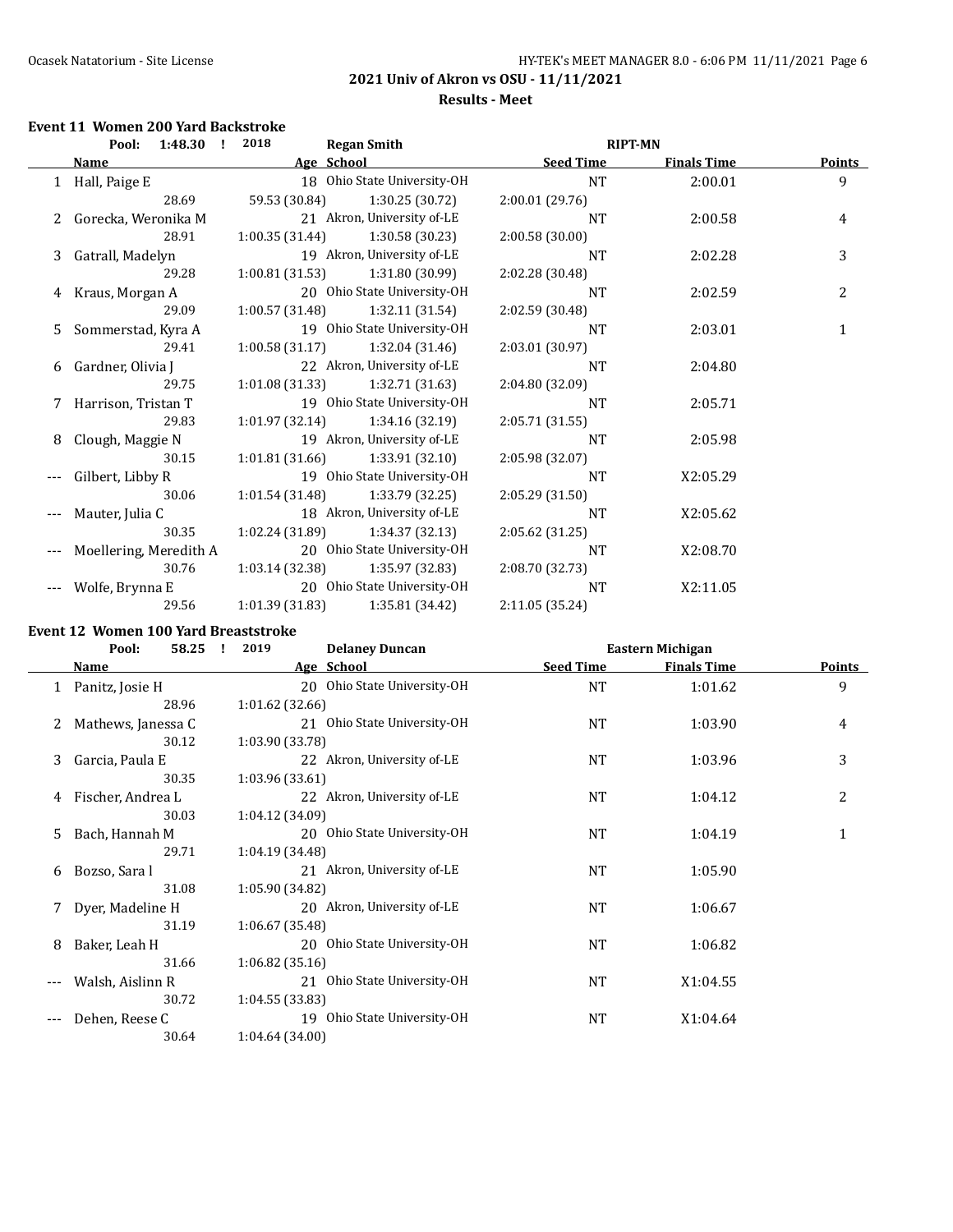# Ocasek Natatorium - Site License **HY-TEK's MEET MANAGER 8.0 - 6:06 PM 11/11/2021** Page 6

**2021 Univ of Akron vs OSU - 11/11/2021**

# **Results - Meet**

### **Event 11 Women 200 Yard Backstroke**

| Pool: 1:48.30 ! |                        | 2018<br><b>Regan Smith</b>        |                                    | <b>RIPT-MN</b>     |               |
|-----------------|------------------------|-----------------------------------|------------------------------------|--------------------|---------------|
|                 | Name                   | Age School                        | <b>Seed Time</b>                   | <b>Finals Time</b> | <b>Points</b> |
|                 | 1 Hall, Paige E        | 18 Ohio State University-OH       | <b>NT</b>                          | 2:00.01            | 9             |
|                 | 28.69                  | 59.53 (30.84)                     | 1:30.25 (30.72)<br>2:00.01(29.76)  |                    |               |
|                 | 2 Gorecka, Weronika M  | 21 Akron, University of-LE        | <b>NT</b>                          | 2:00.58            | 4             |
|                 | 28.91                  | 1:00.35 (31.44)                   | 1:30.58 (30.23)<br>2:00.58 (30.00) |                    |               |
|                 | 3 Gatrall, Madelyn     | 19 Akron, University of-LE        | <b>NT</b>                          | 2:02.28            | 3             |
|                 | 29.28                  | 1:00.81(31.53)                    | 1:31.80 (30.99)<br>2:02.28 (30.48) |                    |               |
| 4               | Kraus, Morgan A        | 20 Ohio State University-OH       | <b>NT</b>                          | 2:02.59            | 2             |
|                 | 29.09                  | 1:00.57 (31.48)                   | 1:32.11 (31.54)<br>2:02.59 (30.48) |                    |               |
|                 | 5 Sommerstad, Kyra A   | 19 Ohio State University-OH       | <b>NT</b>                          | 2:03.01            | $\mathbf{1}$  |
|                 | 29.41                  | $1:00.58(31.17)$ $1:32.04(31.46)$ | 2:03.01 (30.97)                    |                    |               |
|                 | 6 Gardner, Olivia J    | 22 Akron, University of-LE        | NT                                 | 2:04.80            |               |
|                 | 29.75                  | 1:01.08 (31.33)                   | 1:32.71 (31.63)<br>2:04.80 (32.09) |                    |               |
|                 | 7 Harrison, Tristan T  | 19 Ohio State University-OH       | <b>NT</b>                          | 2:05.71            |               |
|                 | 29.83                  | 1:01.97(32.14)                    | 1:34.16 (32.19)<br>2:05.71 (31.55) |                    |               |
| 8               | Clough, Maggie N       | 19 Akron, University of-LE        | <b>NT</b>                          | 2:05.98            |               |
|                 | 30.15                  | 1:01.81 (31.66)                   | 1:33.91 (32.10)<br>2:05.98 (32.07) |                    |               |
|                 | Gilbert, Libby R       | 19 Ohio State University-OH       | <b>NT</b>                          | X2:05.29           |               |
|                 | 30.06                  | 1:01.54 (31.48)                   | 1:33.79 (32.25)<br>2:05.29 (31.50) |                    |               |
|                 | Mauter, Julia C        | 18 Akron, University of-LE        | <b>NT</b>                          | X2:05.62           |               |
|                 | 30.35                  | 1:02.24 (31.89)                   | 2:05.62 (31.25)<br>1:34.37(32.13)  |                    |               |
|                 | Moellering, Meredith A | 20 Ohio State University-OH       | <b>NT</b>                          | X2:08.70           |               |
|                 | 30.76                  | 1:03.14 (32.38)                   | 1:35.97 (32.83)<br>2:08.70 (32.73) |                    |               |
| $---$           | Wolfe, Brynna E        | 20 Ohio State University-OH       | <b>NT</b>                          | X2:11.05           |               |
|                 | 29.56                  | 1:01.39(31.83)                    | 1:35.81 (34.42)<br>2:11.05 (35.24) |                    |               |

### **Event 12 Women 100 Yard Breaststroke**

|     | 58.25<br>Pool:     | 2019            | <b>Delaney Duncan</b>       |                  | Eastern Michigan   |        |
|-----|--------------------|-----------------|-----------------------------|------------------|--------------------|--------|
|     | <b>Name</b>        |                 | Age School                  | <b>Seed Time</b> | <b>Finals Time</b> | Points |
|     | Panitz, Josie H    |                 | 20 Ohio State University-OH | <b>NT</b>        | 1:01.62            | 9      |
|     | 28.96              | 1:01.62(32.66)  |                             |                  |                    |        |
| 2   | Mathews, Janessa C |                 | 21 Ohio State University-OH | NT               | 1:03.90            | 4      |
|     | 30.12              | 1:03.90 (33.78) |                             |                  |                    |        |
| 3   | Garcia, Paula E    |                 | 22 Akron, University of-LE  | NT               | 1:03.96            | 3      |
|     | 30.35              | 1:03.96 (33.61) |                             |                  |                    |        |
| 4   | Fischer, Andrea L  |                 | 22 Akron, University of-LE  | <b>NT</b>        | 1:04.12            | 2      |
|     | 30.03              | 1:04.12(34.09)  |                             |                  |                    |        |
| 5.  | Bach, Hannah M     |                 | 20 Ohio State University-OH | NT               | 1:04.19            | 1      |
|     | 29.71              | 1:04.19 (34.48) |                             |                  |                    |        |
| 6   | Bozso, Sara l      |                 | 21 Akron, University of-LE  | <b>NT</b>        | 1:05.90            |        |
|     | 31.08              | 1:05.90 (34.82) |                             |                  |                    |        |
| 7   | Dyer, Madeline H   |                 | 20 Akron, University of-LE  | <b>NT</b>        | 1:06.67            |        |
|     | 31.19              | 1:06.67(35.48)  |                             |                  |                    |        |
| 8   | Baker, Leah H      |                 | 20 Ohio State University-OH | <b>NT</b>        | 1:06.82            |        |
|     | 31.66              | 1:06.82(35.16)  |                             |                  |                    |        |
|     | Walsh, Aislinn R   |                 | 21 Ohio State University-OH | NT               | X1:04.55           |        |
|     | 30.72              | 1:04.55(33.83)  |                             |                  |                    |        |
| --- | Dehen, Reese C     | 19              | Ohio State University-OH    | NT               | X1:04.64           |        |
|     | 30.64              | 1:04.64(34.00)  |                             |                  |                    |        |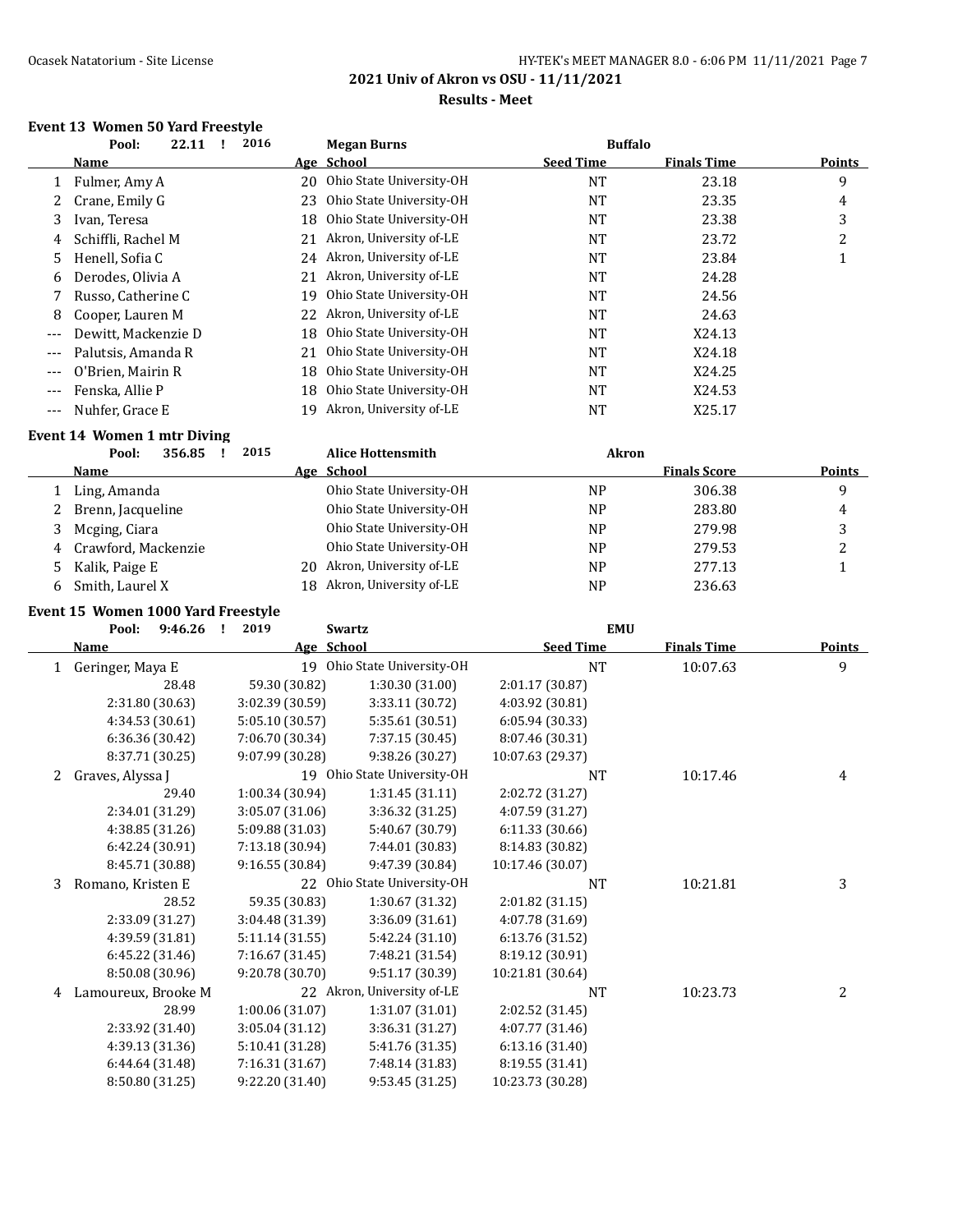# Ocasek Natatorium - Site License **HY-TEK's MEET MANAGER 8.0 - 6:06 PM 11/11/2021** Page 7

**2021 Univ of Akron vs OSU - 11/11/2021**

#### **Results - Meet**

#### **Event 13 Women 50 Yard Freestyle**

|       | 22.11<br>Pool:      | 2016 | <b>Megan Burns</b>         | <b>Buffalo</b>   |                    |        |
|-------|---------------------|------|----------------------------|------------------|--------------------|--------|
|       | Name                |      | Age School                 | <b>Seed Time</b> | <b>Finals Time</b> | Points |
|       | Fulmer, Amy A       | 20   | Ohio State University-OH   | <b>NT</b>        | 23.18              | 9      |
|       | Crane, Emily G      | 23   | Ohio State University-OH   | <b>NT</b>        | 23.35              | 4      |
| 3     | Ivan, Teresa        | 18   | Ohio State University-OH   | <b>NT</b>        | 23.38              | 3      |
| 4     | Schiffli, Rachel M  | 21   | Akron, University of-LE    | <b>NT</b>        | 23.72              | 2      |
| 5     | Henell, Sofia C     |      | 24 Akron, University of-LE | <b>NT</b>        | 23.84              |        |
| 6     | Derodes, Olivia A   | 21   | Akron, University of-LE    | <b>NT</b>        | 24.28              |        |
|       | Russo, Catherine C  | 19   | Ohio State University-OH   | <b>NT</b>        | 24.56              |        |
| 8     | Cooper, Lauren M    | 22   | Akron, University of-LE    | <b>NT</b>        | 24.63              |        |
| $---$ | Dewitt, Mackenzie D | 18   | Ohio State University-OH   | <b>NT</b>        | X24.13             |        |
| $---$ | Palutsis, Amanda R  | 21   | Ohio State University-OH   | <b>NT</b>        | X24.18             |        |
| $---$ | O'Brien. Mairin R   | 18   | Ohio State University-OH   | <b>NT</b>        | X24.25             |        |
|       | Fenska, Allie P     | 18   | Ohio State University-OH   | <b>NT</b>        | X24.53             |        |
|       | Nuhfer, Grace E     | 19   | Akron, University of-LE    | NT               | X25.17             |        |
|       |                     |      |                            |                  |                    |        |

#### **Event 14 Women 1 mtr Diving**

| 356.85<br>Pool: | <b>Alice Hottensmith</b>                                                | Akron     |                     |               |
|-----------------|-------------------------------------------------------------------------|-----------|---------------------|---------------|
| <b>Name</b>     | Age School                                                              |           | <b>Finals Score</b> | <b>Points</b> |
| Ling, Amanda    | Ohio State University-OH                                                | NΡ        | 306.38              | q             |
|                 | Ohio State University-OH                                                | <b>NP</b> | 283.80              | 4             |
| Mcging, Ciara   | Ohio State University-OH                                                | <b>NP</b> | 279.98              |               |
|                 | Ohio State University-OH                                                | <b>NP</b> | 279.53              |               |
|                 | 20 Akron, University of-LE                                              | <b>NP</b> | 277.13              |               |
| Smith, Laurel X | 18 Akron, University of-LE                                              | <b>NP</b> | 236.63              |               |
|                 | 2 Brenn, Jacqueline<br>4 Crawford, Mackenzie<br>5 Kalik, Paige E<br>- 6 | 2015      |                     |               |

### **Event 15 Women 1000 Yard Freestyle**

|   | Pool:<br>9:46.26<br>л. | 2019<br><b>Swartz</b> |                             | <b>EMU</b>       |                    |               |
|---|------------------------|-----------------------|-----------------------------|------------------|--------------------|---------------|
|   | <b>Name</b>            | Age School            |                             | <b>Seed Time</b> | <b>Finals Time</b> | <b>Points</b> |
| 1 | Geringer, Maya E       |                       | 19 Ohio State University-OH | <b>NT</b>        | 10:07.63           | 9             |
|   | 28.48                  | 59.30 (30.82)         | 1:30.30 (31.00)             | 2:01.17 (30.87)  |                    |               |
|   | 2:31.80 (30.63)        | 3:02.39 (30.59)       | 3:33.11 (30.72)             | 4:03.92 (30.81)  |                    |               |
|   | 4:34.53 (30.61)        | 5:05.10 (30.57)       | 5:35.61 (30.51)             | 6:05.94 (30.33)  |                    |               |
|   | 6:36.36 (30.42)        | 7:06.70 (30.34)       | 7:37.15 (30.45)             | 8:07.46 (30.31)  |                    |               |
|   | 8:37.71 (30.25)        | 9:07.99 (30.28)       | 9:38.26 (30.27)             | 10:07.63 (29.37) |                    |               |
| 2 | Graves, Alyssa J       |                       | 19 Ohio State University-OH | <b>NT</b>        | 10:17.46           | 4             |
|   | 29.40                  | 1:00.34 (30.94)       | 1:31.45 (31.11)             | 2:02.72 (31.27)  |                    |               |
|   | 2:34.01 (31.29)        | 3:05.07 (31.06)       | 3:36.32 (31.25)             | 4:07.59 (31.27)  |                    |               |
|   | 4:38.85 (31.26)        | 5:09.88 (31.03)       | 5:40.67 (30.79)             | 6:11.33 (30.66)  |                    |               |
|   | 6:42.24 (30.91)        | 7:13.18 (30.94)       | 7:44.01 (30.83)             | 8:14.83 (30.82)  |                    |               |
|   | 8:45.71 (30.88)        | 9:16.55(30.84)        | 9:47.39 (30.84)             | 10:17.46 (30.07) |                    |               |
| 3 | Romano, Kristen E      |                       | 22 Ohio State University-OH | <b>NT</b>        | 10:21.81           | 3             |
|   | 28.52                  | 59.35 (30.83)         | 1:30.67 (31.32)             | 2:01.82 (31.15)  |                    |               |
|   | 2:33.09 (31.27)        | 3:04.48 (31.39)       | 3:36.09 (31.61)             | 4:07.78 (31.69)  |                    |               |
|   | 4:39.59 (31.81)        | 5:11.14 (31.55)       | 5:42.24 (31.10)             | 6:13.76 (31.52)  |                    |               |
|   | 6:45.22 (31.46)        | 7:16.67 (31.45)       | 7:48.21 (31.54)             | 8:19.12 (30.91)  |                    |               |
|   | 8:50.08 (30.96)        | 9:20.78 (30.70)       | 9:51.17 (30.39)             | 10:21.81 (30.64) |                    |               |
| 4 | Lamoureux, Brooke M    |                       | 22 Akron, University of-LE  | <b>NT</b>        | 10:23.73           | 2             |
|   | 28.99                  | 1:00.06(31.07)        | 1:31.07 (31.01)             | 2:02.52 (31.45)  |                    |               |
|   | 2:33.92 (31.40)        | 3:05.04(31.12)        | 3:36.31 (31.27)             | 4:07.77 (31.46)  |                    |               |
|   | 4:39.13 (31.36)        | 5:10.41 (31.28)       | 5:41.76 (31.35)             | 6:13.16 (31.40)  |                    |               |
|   | 6:44.64 (31.48)        | 7:16.31 (31.67)       | 7:48.14 (31.83)             | 8:19.55 (31.41)  |                    |               |
|   | 8:50.80 (31.25)        | 9:22.20 (31.40)       | 9:53.45 (31.25)             | 10:23.73 (30.28) |                    |               |
|   |                        |                       |                             |                  |                    |               |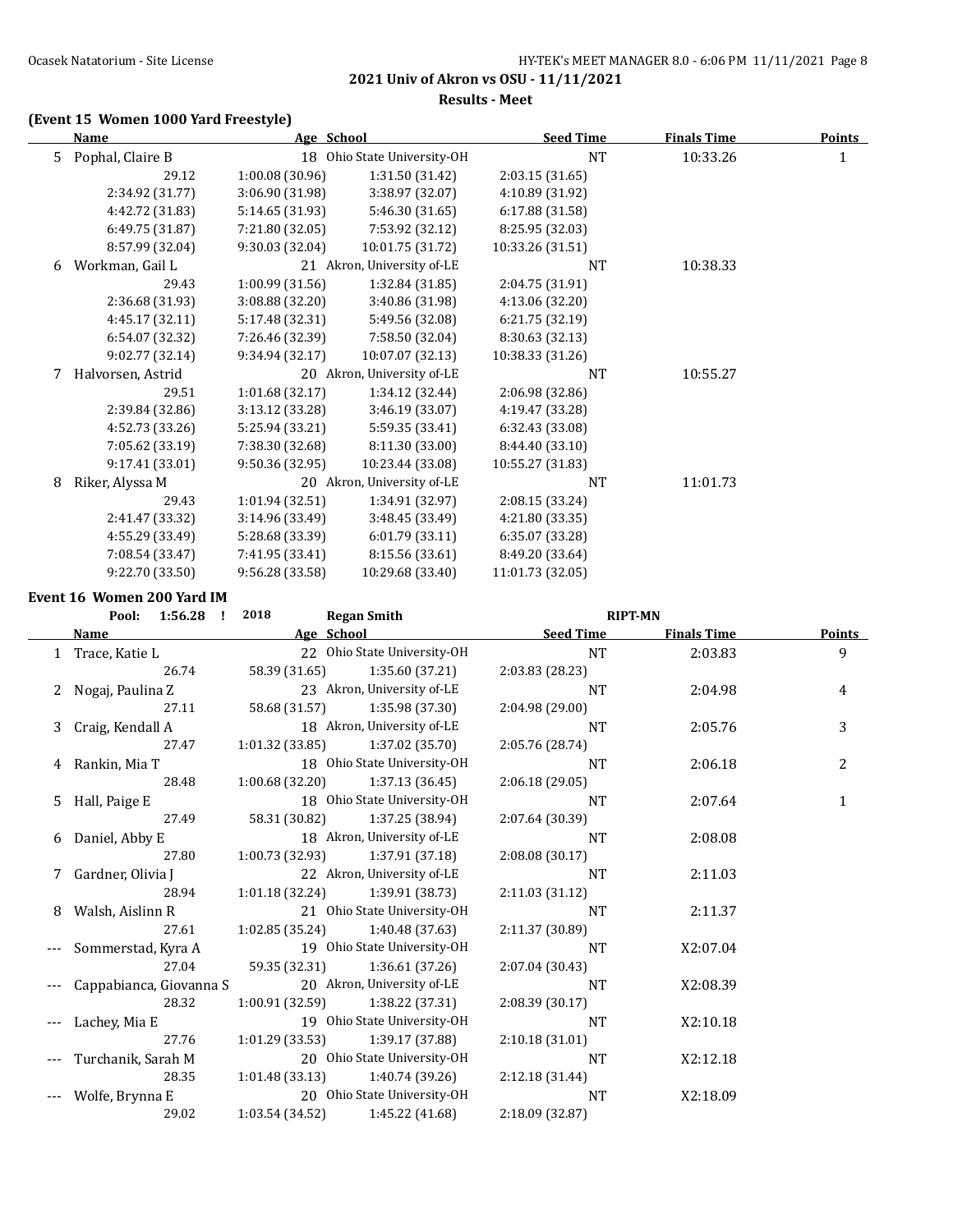**Results - Meet**

# **(Event 15 Women 1000 Yard Freestyle)**

|    | <b>Name</b>       | Age School      |                             | <b>Seed Time</b> | <u>Finals Time</u> | <b>Points</b> |
|----|-------------------|-----------------|-----------------------------|------------------|--------------------|---------------|
| 5. | Pophal, Claire B  |                 | 18 Ohio State University-OH | <b>NT</b>        | 10:33.26           | $\mathbf{1}$  |
|    | 29.12             | 1:00.08(30.96)  | 1:31.50 (31.42)             | 2:03.15 (31.65)  |                    |               |
|    | 2:34.92 (31.77)   | 3:06.90 (31.98) | 3:38.97 (32.07)             | 4:10.89 (31.92)  |                    |               |
|    | 4:42.72 (31.83)   | 5:14.65 (31.93) | 5:46.30 (31.65)             | 6:17.88 (31.58)  |                    |               |
|    | 6:49.75 (31.87)   | 7:21.80 (32.05) | 7:53.92 (32.12)             | 8:25.95 (32.03)  |                    |               |
|    | 8:57.99 (32.04)   | 9:30.03 (32.04) | 10:01.75 (31.72)            | 10:33.26 (31.51) |                    |               |
| 6  | Workman, Gail L   |                 | 21 Akron, University of-LE  | NT               | 10:38.33           |               |
|    | 29.43             | 1:00.99(31.56)  | 1:32.84 (31.85)             | 2:04.75 (31.91)  |                    |               |
|    | 2:36.68 (31.93)   | 3:08.88 (32.20) | 3:40.86 (31.98)             | 4:13.06 (32.20)  |                    |               |
|    | 4:45.17 (32.11)   | 5:17.48 (32.31) | 5:49.56 (32.08)             | 6:21.75 (32.19)  |                    |               |
|    | 6:54.07 (32.32)   | 7:26.46 (32.39) | 7:58.50 (32.04)             | 8:30.63 (32.13)  |                    |               |
|    | 9:02.77 (32.14)   | 9:34.94 (32.17) | 10:07.07 (32.13)            | 10:38.33 (31.26) |                    |               |
| 7  | Halvorsen, Astrid |                 | 20 Akron, University of-LE  | <b>NT</b>        | 10:55.27           |               |
|    | 29.51             | 1:01.68 (32.17) | 1:34.12 (32.44)             | 2:06.98 (32.86)  |                    |               |
|    | 2:39.84 (32.86)   | 3:13.12 (33.28) | 3:46.19 (33.07)             | 4:19.47 (33.28)  |                    |               |
|    | 4:52.73 (33.26)   | 5:25.94 (33.21) | 5:59.35 (33.41)             | 6:32.43 (33.08)  |                    |               |
|    | 7:05.62 (33.19)   | 7:38.30 (32.68) | 8:11.30 (33.00)             | 8:44.40 (33.10)  |                    |               |
|    | 9:17.41 (33.01)   | 9:50.36 (32.95) | 10:23.44 (33.08)            | 10:55.27 (31.83) |                    |               |
| 8  | Riker, Alyssa M   |                 | 20 Akron, University of-LE  | NT               | 11:01.73           |               |
|    | 29.43             | 1:01.94(32.51)  | 1:34.91 (32.97)             | 2:08.15 (33.24)  |                    |               |
|    | 2:41.47 (33.32)   | 3:14.96 (33.49) | 3:48.45 (33.49)             | 4:21.80 (33.35)  |                    |               |
|    | 4:55.29 (33.49)   | 5:28.68 (33.39) | 6:01.79 (33.11)             | 6:35.07 (33.28)  |                    |               |
|    | 7:08.54 (33.47)   | 7:41.95 (33.41) | 8:15.56 (33.61)             | 8:49.20 (33.64)  |                    |               |
|    | 9:22.70 (33.50)   | 9:56.28 (33.58) | 10:29.68 (33.40)            | 11:01.73 (32.05) |                    |               |

**Event 16 Women 200 Yard IM**

|       | Pool: 1:56.28 !         | 2018<br><b>Regan Smith</b>        |                             | <b>RIPT-MN</b>  |                    |                |
|-------|-------------------------|-----------------------------------|-----------------------------|-----------------|--------------------|----------------|
|       | Name                    | Age School                        |                             | Seed Time       | <b>Finals Time</b> | <b>Points</b>  |
|       | 1 Trace, Katie L        |                                   | 22 Ohio State University-OH | <b>NT</b>       | 2:03.83            | 9              |
|       | 26.74                   | 58.39 (31.65)                     | 1:35.60 (37.21)             | 2:03.83 (28.23) |                    |                |
|       | Nogaj, Paulina Z        |                                   | 23 Akron, University of-LE  | <b>NT</b>       | 2:04.98            | 4              |
|       | 27.11                   | 58.68 (31.57)                     | 1:35.98 (37.30)             | 2:04.98 (29.00) |                    |                |
| 3     | Craig, Kendall A        |                                   | 18 Akron, University of-LE  | <b>NT</b>       | 2:05.76            | 3              |
|       | 27.47                   | 1:01.32 (33.85)                   | 1:37.02(35.70)              | 2:05.76 (28.74) |                    |                |
|       | 4 Rankin, Mia T         |                                   | 18 Ohio State University-OH | <b>NT</b>       | 2:06.18            | $\overline{2}$ |
|       | 28.48                   | 1:00.68 (32.20)                   | 1:37.13 (36.45)             | 2:06.18(29.05)  |                    |                |
| 5.    | Hall, Paige E           |                                   | 18 Ohio State University-OH | <b>NT</b>       | 2:07.64            | $\mathbf 1$    |
|       | 27.49                   | 58.31 (30.82) 1:37.25 (38.94)     |                             | 2:07.64 (30.39) |                    |                |
|       | 6 Daniel, Abby E        |                                   | 18 Akron, University of-LE  | <b>NT</b>       | 2:08.08            |                |
|       | 27.80                   | 1:00.73 (32.93)                   | 1:37.91 (37.18)             | 2:08.08(30.17)  |                    |                |
|       | 7 Gardner, Olivia J     |                                   | 22 Akron, University of-LE  | <b>NT</b>       | 2:11.03            |                |
|       | 28.94                   | $1:01.18(32.24)$ $1:39.91(38.73)$ |                             | 2:11.03 (31.12) |                    |                |
| 8     | Walsh, Aislinn R        |                                   | 21 Ohio State University-OH | <b>NT</b>       | 2:11.37            |                |
|       | 27.61                   | $1:02.85(35.24)$ $1:40.48(37.63)$ |                             | 2:11.37 (30.89) |                    |                |
|       | Sommerstad, Kyra A      |                                   | 19 Ohio State University-OH | <b>NT</b>       | X2:07.04           |                |
|       | 27.04                   | 59.35 (32.31)                     | 1:36.61(37.26)              | 2:07.04 (30.43) |                    |                |
|       | Cappabianca, Giovanna S |                                   | 20 Akron, University of-LE  | <b>NT</b>       | X2:08.39           |                |
|       | 28.32                   | $1:00.91(32.59)$ $1:38.22(37.31)$ |                             | 2:08.39 (30.17) |                    |                |
|       | Lachey, Mia E           |                                   | 19 Ohio State University-OH | <b>NT</b>       | X2:10.18           |                |
|       | 27.76                   | 1:01.29(33.53)                    | 1:39.17 (37.88)             | 2:10.18 (31.01) |                    |                |
|       | Turchanik, Sarah M      |                                   | 20 Ohio State University-OH | <b>NT</b>       | X2:12.18           |                |
|       | 28.35                   | 1:01.48(33.13)                    | 1:40.74(39.26)              | 2:12.18(31.44)  |                    |                |
| $---$ | Wolfe, Brynna E         |                                   | 20 Ohio State University-OH | <b>NT</b>       | X2:18.09           |                |
|       | 29.02                   | 1:03.54(34.52)                    | 1:45.22 (41.68)             | 2:18.09 (32.87) |                    |                |